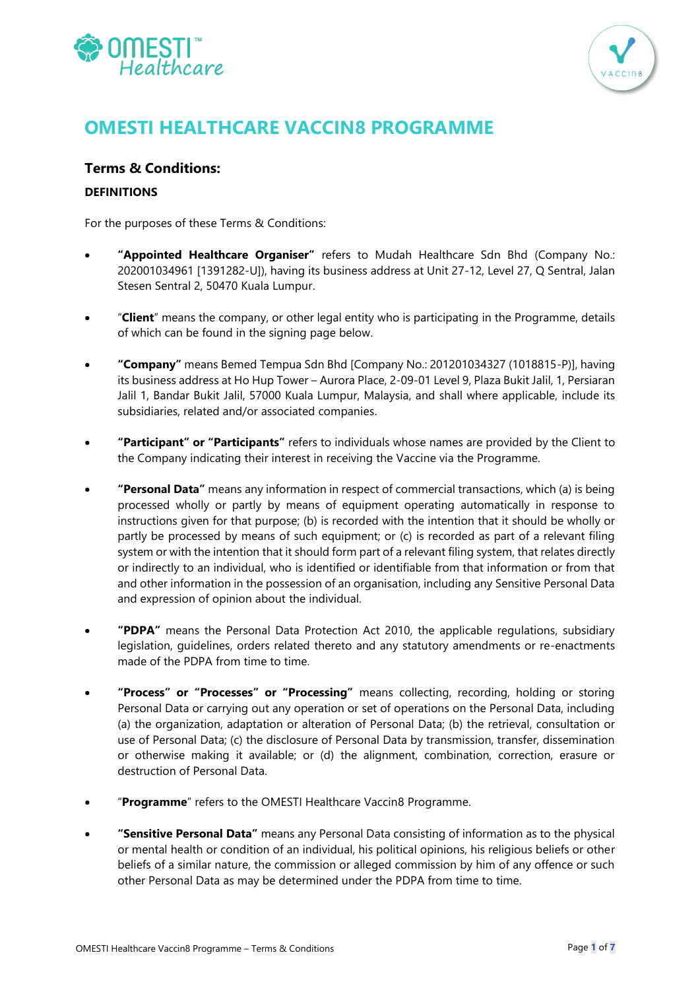



# **OMESTI HEALTHCARE VACCIN8 PROGRAMME**

# **Terms & Conditions:**

# **DEFINITIONS**

For the purposes of these Terms & Conditions:

- **"Appointed Healthcare Organiser"** refers to Mudah Healthcare Sdn Bhd (Company No.: 202001034961 [1391282-U]), having its business address at Unit 27-12, Level 27, Q Sentral, Jalan Stesen Sentral 2, 50470 Kuala Lumpur.
- "**Client**" means the company, or other legal entity who is participating in the Programme, details of which can be found in the signing page below.
- **"Company"** means Bemed Tempua Sdn Bhd [Company No.: 201201034327 (1018815-P)], having its business address at Ho Hup Tower – Aurora Place, 2-09-01 Level 9, Plaza Bukit Jalil, 1, Persiaran Jalil 1, Bandar Bukit Jalil, 57000 Kuala Lumpur, Malaysia, and shall where applicable, include its subsidiaries, related and/or associated companies.
- **"Participant" or "Participants"** refers to individuals whose names are provided by the Client to the Company indicating their interest in receiving the Vaccine via the Programme.
- **"Personal Data"** means any information in respect of commercial transactions, which (a) is being processed wholly or partly by means of equipment operating automatically in response to instructions given for that purpose; (b) is recorded with the intention that it should be wholly or partly be processed by means of such equipment; or (c) is recorded as part of a relevant filing system or with the intention that it should form part of a relevant filing system, that relates directly or indirectly to an individual, who is identified or identifiable from that information or from that and other information in the possession of an organisation, including any Sensitive Personal Data and expression of opinion about the individual.
- **"PDPA"** means the Personal Data Protection Act 2010, the applicable regulations, subsidiary legislation, guidelines, orders related thereto and any statutory amendments or re-enactments made of the PDPA from time to time.
- **"Process" or "Processes" or "Processing"** means collecting, recording, holding or storing Personal Data or carrying out any operation or set of operations on the Personal Data, including (a) the organization, adaptation or alteration of Personal Data; (b) the retrieval, consultation or use of Personal Data; (c) the disclosure of Personal Data by transmission, transfer, dissemination or otherwise making it available; or (d) the alignment, combination, correction, erasure or destruction of Personal Data.
- "**Programme**" refers to the OMESTI Healthcare Vaccin8 Programme.
- **"Sensitive Personal Data"** means any Personal Data consisting of information as to the physical or mental health or condition of an individual, his political opinions, his religious beliefs or other beliefs of a similar nature, the commission or alleged commission by him of any offence or such other Personal Data as may be determined under the PDPA from time to time.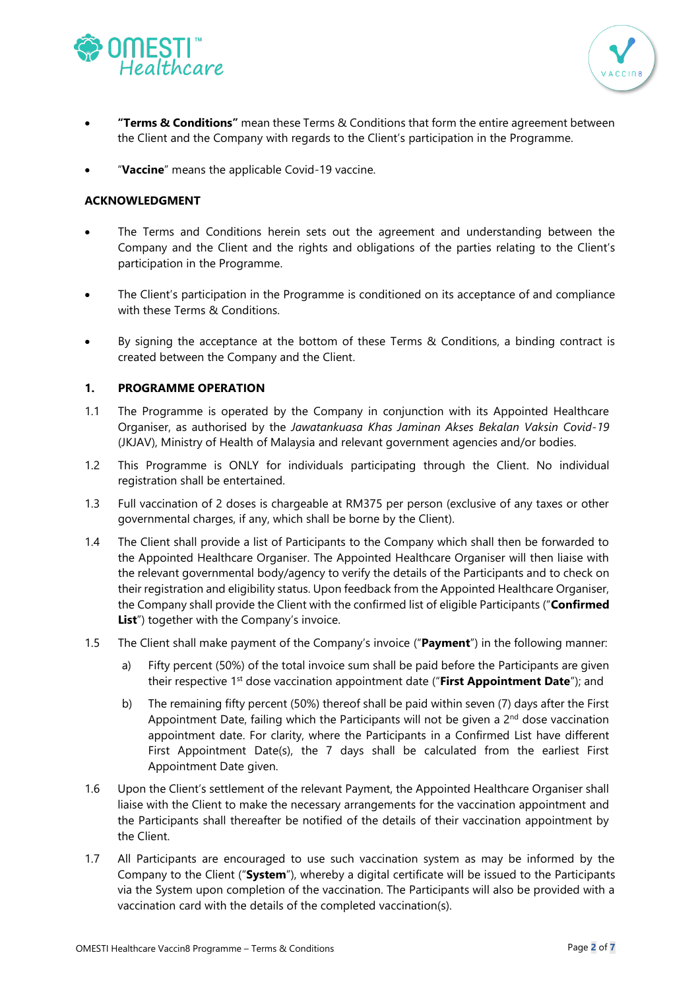



- **"Terms & Conditions"** mean these Terms & Conditions that form the entire agreement between the Client and the Company with regards to the Client's participation in the Programme.
- "Vaccine" means the applicable Covid-19 vaccine.

# **ACKNOWLEDGMENT**

- The Terms and Conditions herein sets out the agreement and understanding between the Company and the Client and the rights and obligations of the parties relating to the Client's participation in the Programme.
- The Client's participation in the Programme is conditioned on its acceptance of and compliance with these Terms & Conditions.
- By signing the acceptance at the bottom of these Terms & Conditions, a binding contract is created between the Company and the Client.

## **1. PROGRAMME OPERATION**

- 1.1 The Programme is operated by the Company in conjunction with its Appointed Healthcare Organiser, as authorised by the *Jawatankuasa Khas Jaminan Akses Bekalan Vaksin Covid-19* (JKJAV), Ministry of Health of Malaysia and relevant government agencies and/or bodies.
- 1.2 This Programme is ONLY for individuals participating through the Client. No individual registration shall be entertained.
- 1.3 Full vaccination of 2 doses is chargeable at RM375 per person (exclusive of any taxes or other governmental charges, if any, which shall be borne by the Client).
- 1.4 The Client shall provide a list of Participants to the Company which shall then be forwarded to the Appointed Healthcare Organiser. The Appointed Healthcare Organiser will then liaise with the relevant governmental body/agency to verify the details of the Participants and to check on their registration and eligibility status. Upon feedback from the Appointed Healthcare Organiser, the Company shall provide the Client with the confirmed list of eligible Participants ("**Confirmed List**") together with the Company's invoice.
- 1.5 The Client shall make payment of the Company's invoice ("**Payment**") in the following manner:
	- a) Fifty percent (50%) of the total invoice sum shall be paid before the Participants are given their respective 1<sup>st</sup> dose vaccination appointment date ("First Appointment Date"); and
	- b) The remaining fifty percent (50%) thereof shall be paid within seven (7) days after the First Appointment Date, failing which the Participants will not be given a 2<sup>nd</sup> dose vaccination appointment date. For clarity, where the Participants in a Confirmed List have different First Appointment Date(s), the 7 days shall be calculated from the earliest First Appointment Date given.
- 1.6 Upon the Client's settlement of the relevant Payment, the Appointed Healthcare Organiser shall liaise with the Client to make the necessary arrangements for the vaccination appointment and the Participants shall thereafter be notified of the details of their vaccination appointment by the Client.
- 1.7 All Participants are encouraged to use such vaccination system as may be informed by the Company to the Client ("**System**"), whereby a digital certificate will be issued to the Participants via the System upon completion of the vaccination. The Participants will also be provided with a vaccination card with the details of the completed vaccination(s).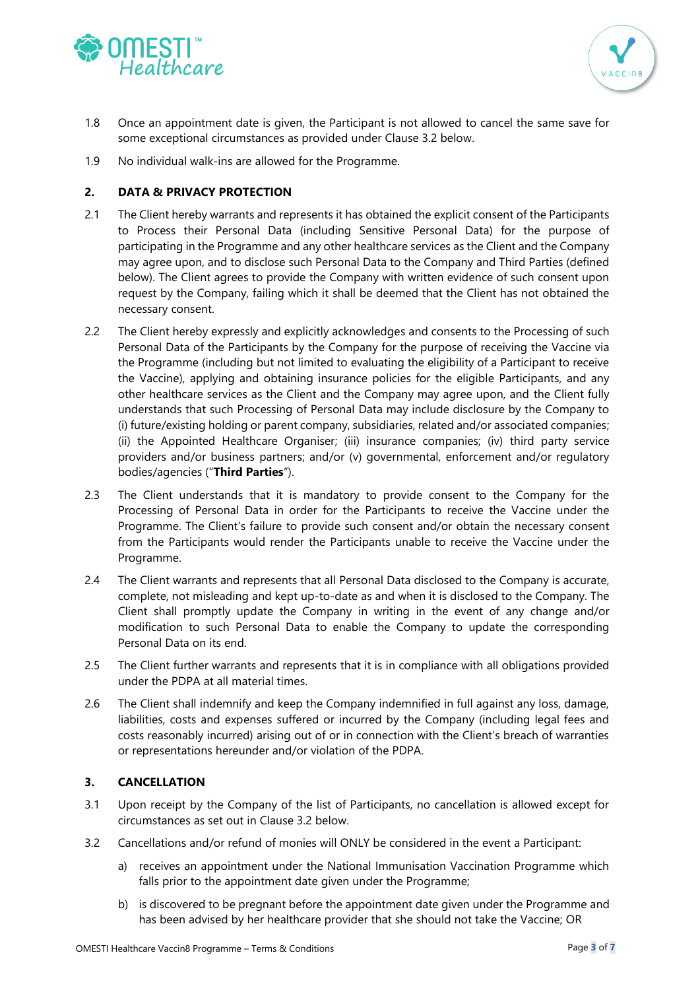



- 1.8 Once an appointment date is given, the Participant is not allowed to cancel the same save for some exceptional circumstances as provided under Clause 3.2 below.
- 1.9 No individual walk-ins are allowed for the Programme.

# **2. DATA & PRIVACY PROTECTION**

- 2.1 The Client hereby warrants and represents it has obtained the explicit consent of the Participants to Process their Personal Data (including Sensitive Personal Data) for the purpose of participating in the Programme and any other healthcare services as the Client and the Company may agree upon, and to disclose such Personal Data to the Company and Third Parties (defined below). The Client agrees to provide the Company with written evidence of such consent upon request by the Company, failing which it shall be deemed that the Client has not obtained the necessary consent.
- 2.2 The Client hereby expressly and explicitly acknowledges and consents to the Processing of such Personal Data of the Participants by the Company for the purpose of receiving the Vaccine via the Programme (including but not limited to evaluating the eligibility of a Participant to receive the Vaccine), applying and obtaining insurance policies for the eligible Participants, and any other healthcare services as the Client and the Company may agree upon, and the Client fully understands that such Processing of Personal Data may include disclosure by the Company to (i) future/existing holding or parent company, subsidiaries, related and/or associated companies; (ii) the Appointed Healthcare Organiser; (iii) insurance companies; (iv) third party service providers and/or business partners; and/or (v) governmental, enforcement and/or regulatory bodies/agencies ("**Third Parties**").
- 2.3 The Client understands that it is mandatory to provide consent to the Company for the Processing of Personal Data in order for the Participants to receive the Vaccine under the Programme. The Client's failure to provide such consent and/or obtain the necessary consent from the Participants would render the Participants unable to receive the Vaccine under the Programme.
- 2.4 The Client warrants and represents that all Personal Data disclosed to the Company is accurate, complete, not misleading and kept up-to-date as and when it is disclosed to the Company. The Client shall promptly update the Company in writing in the event of any change and/or modification to such Personal Data to enable the Company to update the corresponding Personal Data on its end.
- 2.5 The Client further warrants and represents that it is in compliance with all obligations provided under the PDPA at all material times.
- 2.6 The Client shall indemnify and keep the Company indemnified in full against any loss, damage, liabilities, costs and expenses suffered or incurred by the Company (including legal fees and costs reasonably incurred) arising out of or in connection with the Client's breach of warranties or representations hereunder and/or violation of the PDPA.

## **3. CANCELLATION**

- 3.1 Upon receipt by the Company of the list of Participants, no cancellation is allowed except for circumstances as set out in Clause 3.2 below.
- 3.2 Cancellations and/or refund of monies will ONLY be considered in the event a Participant:
	- a) receives an appointment under the National Immunisation Vaccination Programme which falls prior to the appointment date given under the Programme;
	- b) is discovered to be pregnant before the appointment date given under the Programme and has been advised by her healthcare provider that she should not take the Vaccine; OR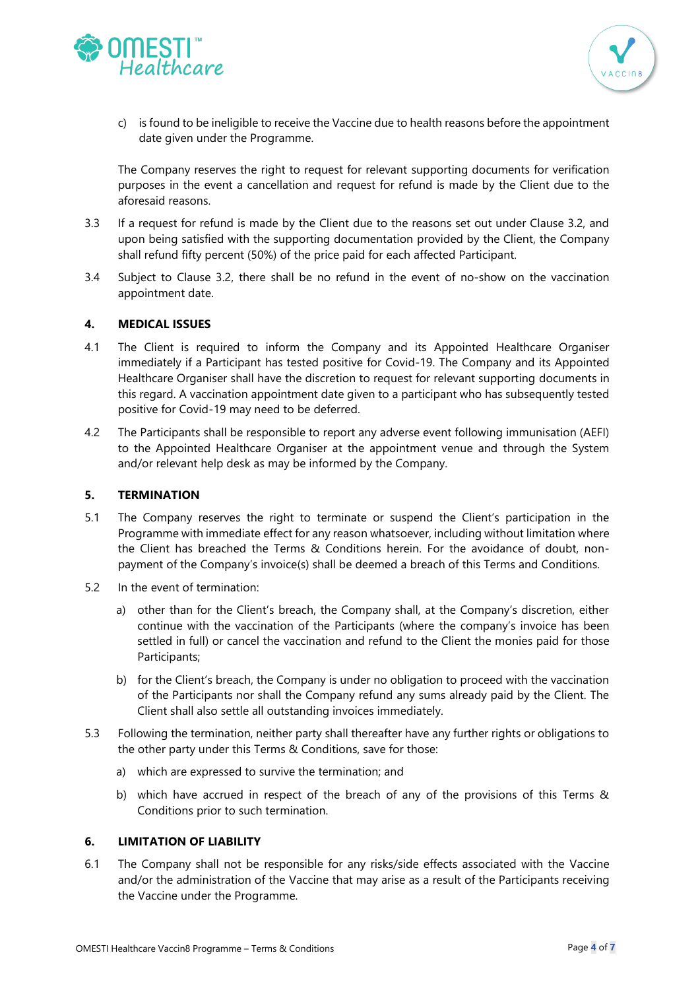



c) is found to be ineligible to receive the Vaccine due to health reasons before the appointment date given under the Programme.

The Company reserves the right to request for relevant supporting documents for verification purposes in the event a cancellation and request for refund is made by the Client due to the aforesaid reasons.

- 3.3 If a request for refund is made by the Client due to the reasons set out under Clause 3.2, and upon being satisfied with the supporting documentation provided by the Client, the Company shall refund fifty percent (50%) of the price paid for each affected Participant.
- 3.4 Subject to Clause 3.2, there shall be no refund in the event of no-show on the vaccination appointment date.

#### **4. MEDICAL ISSUES**

- 4.1 The Client is required to inform the Company and its Appointed Healthcare Organiser immediately if a Participant has tested positive for Covid-19. The Company and its Appointed Healthcare Organiser shall have the discretion to request for relevant supporting documents in this regard. A vaccination appointment date given to a participant who has subsequently tested positive for Covid-19 may need to be deferred.
- 4.2 The Participants shall be responsible to report any adverse event following immunisation (AEFI) to the Appointed Healthcare Organiser at the appointment venue and through the System and/or relevant help desk as may be informed by the Company.

#### **5. TERMINATION**

- 5.1 The Company reserves the right to terminate or suspend the Client's participation in the Programme with immediate effect for any reason whatsoever, including without limitation where the Client has breached the Terms & Conditions herein. For the avoidance of doubt, nonpayment of the Company's invoice(s) shall be deemed a breach of this Terms and Conditions.
- 5.2 In the event of termination:
	- a) other than for the Client's breach, the Company shall, at the Company's discretion, either continue with the vaccination of the Participants (where the company's invoice has been settled in full) or cancel the vaccination and refund to the Client the monies paid for those Participants;
	- b) for the Client's breach, the Company is under no obligation to proceed with the vaccination of the Participants nor shall the Company refund any sums already paid by the Client. The Client shall also settle all outstanding invoices immediately.
- 5.3 Following the termination, neither party shall thereafter have any further rights or obligations to the other party under this Terms & Conditions, save for those:
	- a) which are expressed to survive the termination; and
	- b) which have accrued in respect of the breach of any of the provisions of this Terms & Conditions prior to such termination.

#### **6. LIMITATION OF LIABILITY**

6.1 The Company shall not be responsible for any risks/side effects associated with the Vaccine and/or the administration of the Vaccine that may arise as a result of the Participants receiving the Vaccine under the Programme.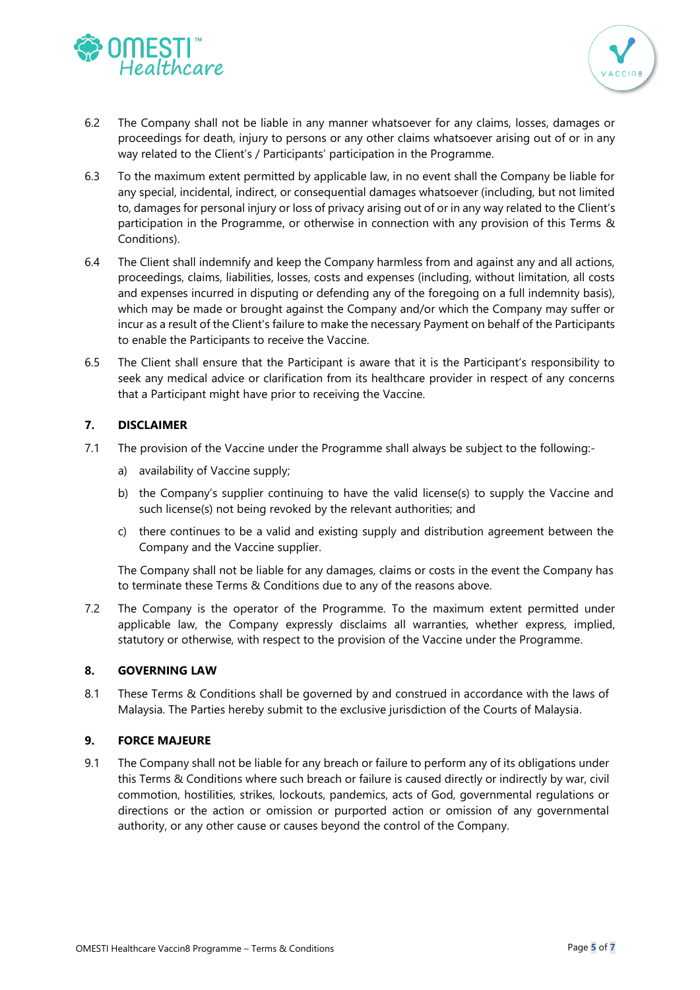



- 6.2 The Company shall not be liable in any manner whatsoever for any claims, losses, damages or proceedings for death, injury to persons or any other claims whatsoever arising out of or in any way related to the Client's / Participants' participation in the Programme.
- 6.3 To the maximum extent permitted by applicable law, in no event shall the Company be liable for any special, incidental, indirect, or consequential damages whatsoever (including, but not limited to, damages for personal injury or loss of privacy arising out of or in any way related to the Client's participation in the Programme, or otherwise in connection with any provision of this Terms & Conditions).
- 6.4 The Client shall indemnify and keep the Company harmless from and against any and all actions, proceedings, claims, liabilities, losses, costs and expenses (including, without limitation, all costs and expenses incurred in disputing or defending any of the foregoing on a full indemnity basis), which may be made or brought against the Company and/or which the Company may suffer or incur as a result of the Client's failure to make the necessary Payment on behalf of the Participants to enable the Participants to receive the Vaccine.
- 6.5 The Client shall ensure that the Participant is aware that it is the Participant's responsibility to seek any medical advice or clarification from its healthcare provider in respect of any concerns that a Participant might have prior to receiving the Vaccine.

# **7. DISCLAIMER**

- 7.1 The provision of the Vaccine under the Programme shall always be subject to the following:
	- a) availability of Vaccine supply;
	- b) the Company's supplier continuing to have the valid license(s) to supply the Vaccine and such license(s) not being revoked by the relevant authorities; and
	- c) there continues to be a valid and existing supply and distribution agreement between the Company and the Vaccine supplier.

The Company shall not be liable for any damages, claims or costs in the event the Company has to terminate these Terms & Conditions due to any of the reasons above.

7.2 The Company is the operator of the Programme. To the maximum extent permitted under applicable law, the Company expressly disclaims all warranties, whether express, implied, statutory or otherwise, with respect to the provision of the Vaccine under the Programme.

## **8. GOVERNING LAW**

8.1 These Terms & Conditions shall be governed by and construed in accordance with the laws of Malaysia. The Parties hereby submit to the exclusive jurisdiction of the Courts of Malaysia.

## **9. FORCE MAJEURE**

9.1 The Company shall not be liable for any breach or failure to perform any of its obligations under this Terms & Conditions where such breach or failure is caused directly or indirectly by war, civil commotion, hostilities, strikes, lockouts, pandemics, acts of God, governmental regulations or directions or the action or omission or purported action or omission of any governmental authority, or any other cause or causes beyond the control of the Company.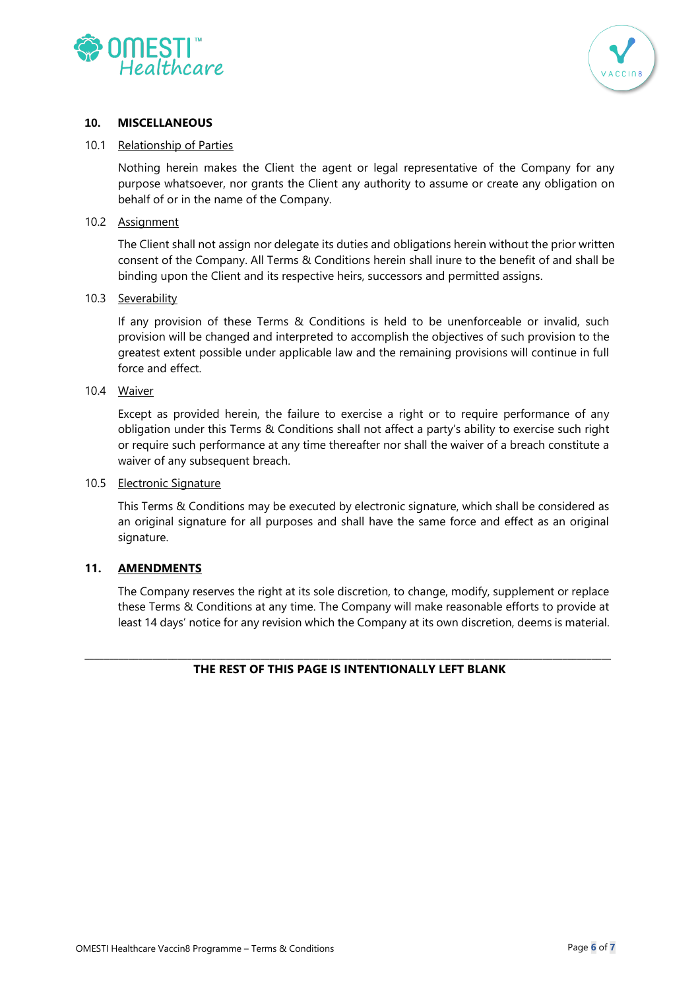



## **10. MISCELLANEOUS**

#### 10.1 Relationship of Parties

Nothing herein makes the Client the agent or legal representative of the Company for any purpose whatsoever, nor grants the Client any authority to assume or create any obligation on behalf of or in the name of the Company.

#### 10.2 Assignment

The Client shall not assign nor delegate its duties and obligations herein without the prior written consent of the Company. All Terms & Conditions herein shall inure to the benefit of and shall be binding upon the Client and its respective heirs, successors and permitted assigns.

#### 10.3 Severability

If any provision of these Terms & Conditions is held to be unenforceable or invalid, such provision will be changed and interpreted to accomplish the objectives of such provision to the greatest extent possible under applicable law and the remaining provisions will continue in full force and effect.

## 10.4 Waiver

Except as provided herein, the failure to exercise a right or to require performance of any obligation under this Terms & Conditions shall not affect a party's ability to exercise such right or require such performance at any time thereafter nor shall the waiver of a breach constitute a waiver of any subsequent breach.

#### 10.5 Electronic Signature

This Terms & Conditions may be executed by electronic signature, which shall be considered as an original signature for all purposes and shall have the same force and effect as an original signature.

## **11. AMENDMENTS**

The Company reserves the right at its sole discretion, to change, modify, supplement or replace these Terms & Conditions at any time. The Company will make reasonable efforts to provide at least 14 days' notice for any revision which the Company at its own discretion, deems is material.

#### \_\_\_\_\_\_\_\_\_\_\_\_\_\_\_\_\_\_\_\_\_\_\_\_\_\_\_\_\_\_\_\_\_\_\_\_\_\_\_\_\_\_\_\_\_\_\_\_\_\_\_\_\_\_\_\_\_\_\_\_\_\_\_\_\_\_\_\_\_\_\_\_\_\_\_\_\_\_\_\_\_\_\_\_\_\_\_\_\_\_\_\_\_\_\_\_\_\_\_\_\_\_\_\_\_\_\_\_ **THE REST OF THIS PAGE IS INTENTIONALLY LEFT BLANK**